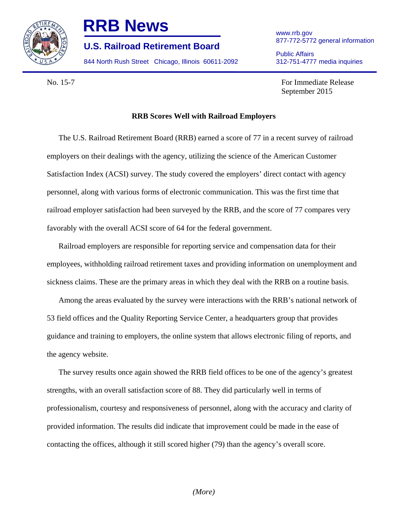

## **RRB News** www.rrb.gov

877-772-5772 general information **U.S. Railroad Retirement Board** 

844 North Rush Street Chicago, Illinois 60611-2092 312-751-4777 media inquiries

Public Affairs

No. 15-7 For Immediate Release September 2015

## **RRB Scores Well with Railroad Employers**

The U.S. Railroad Retirement Board (RRB) earned a score of 77 in a recent survey of railroad employers on their dealings with the agency, utilizing the science of the American Customer Satisfaction Index (ACSI) survey. The study covered the employers' direct contact with agency personnel, along with various forms of electronic communication. This was the first time that railroad employer satisfaction had been surveyed by the RRB, and the score of 77 compares very favorably with the overall ACSI score of 64 for the federal government.

Railroad employers are responsible for reporting service and compensation data for their employees, withholding railroad retirement taxes and providing information on unemployment and sickness claims. These are the primary areas in which they deal with the RRB on a routine basis.

Among the areas evaluated by the survey were interactions with the RRB's national network of 53 field offices and the Quality Reporting Service Center, a headquarters group that provides guidance and training to employers, the online system that allows electronic filing of reports, and the agency website.

The survey results once again showed the RRB field offices to be one of the agency's greatest strengths, with an overall satisfaction score of 88. They did particularly well in terms of professionalism, courtesy and responsiveness of personnel, along with the accuracy and clarity of provided information. The results did indicate that improvement could be made in the ease of contacting the offices, although it still scored higher (79) than the agency's overall score.